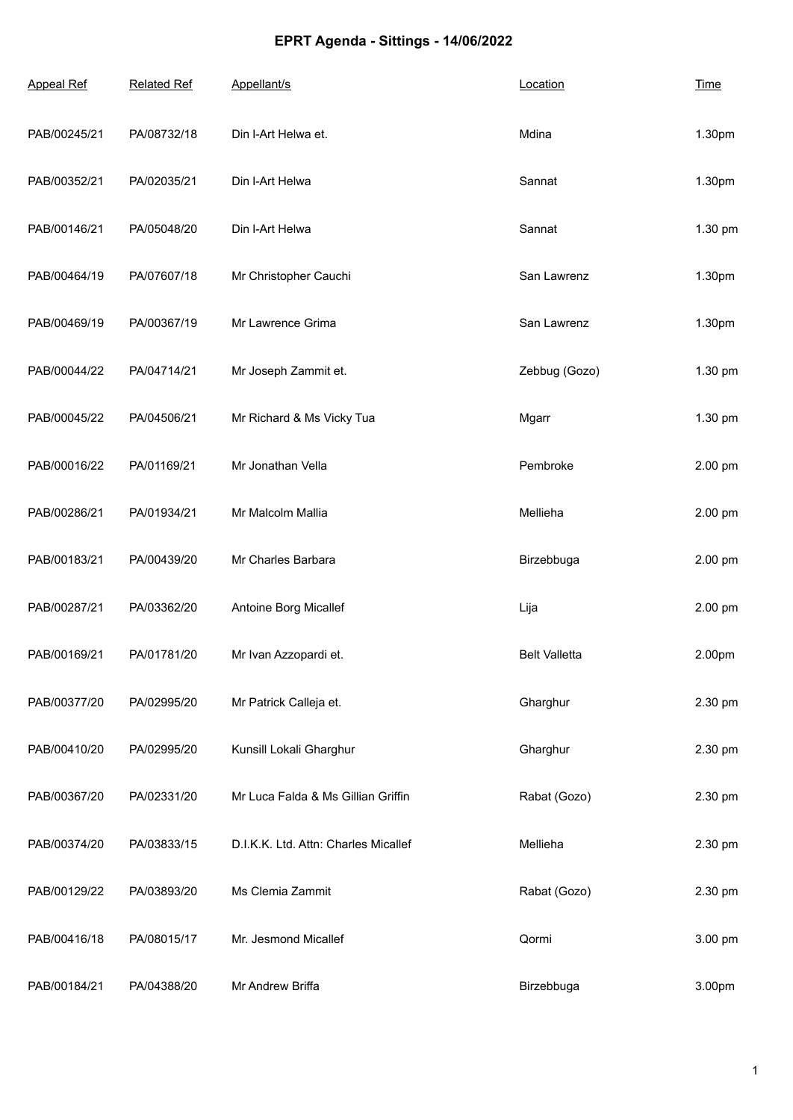## **EPRT Agenda - Sittings - 14/06/2022**

| <b>Appeal Ref</b> | <b>Related Ref</b> | Appellant/s                          | Location             | <b>Time</b> |
|-------------------|--------------------|--------------------------------------|----------------------|-------------|
| PAB/00245/21      | PA/08732/18        | Din I-Art Helwa et.                  | Mdina                | 1.30pm      |
| PAB/00352/21      | PA/02035/21        | Din I-Art Helwa                      | Sannat               | 1.30pm      |
| PAB/00146/21      | PA/05048/20        | Din I-Art Helwa                      | Sannat               | 1.30 pm     |
| PAB/00464/19      | PA/07607/18        | Mr Christopher Cauchi                | San Lawrenz          | 1.30pm      |
| PAB/00469/19      | PA/00367/19        | Mr Lawrence Grima                    | San Lawrenz          | 1.30pm      |
| PAB/00044/22      | PA/04714/21        | Mr Joseph Zammit et.                 | Zebbug (Gozo)        | 1.30 pm     |
| PAB/00045/22      | PA/04506/21        | Mr Richard & Ms Vicky Tua            | Mgarr                | 1.30 pm     |
| PAB/00016/22      | PA/01169/21        | Mr Jonathan Vella                    | Pembroke             | 2.00 pm     |
| PAB/00286/21      | PA/01934/21        | Mr Malcolm Mallia                    | Mellieha             | 2.00 pm     |
| PAB/00183/21      | PA/00439/20        | Mr Charles Barbara                   | Birzebbuga           | 2.00 pm     |
| PAB/00287/21      | PA/03362/20        | Antoine Borg Micallef                | Lija                 | 2.00 pm     |
| PAB/00169/21      | PA/01781/20        | Mr Ivan Azzopardi et.                | <b>Belt Valletta</b> | 2.00pm      |
| PAB/00377/20      | PA/02995/20        | Mr Patrick Calleja et.               | Gharghur             | 2.30 pm     |
| PAB/00410/20      | PA/02995/20        | Kunsill Lokali Gharghur              | Gharghur             | 2.30 pm     |
| PAB/00367/20      | PA/02331/20        | Mr Luca Falda & Ms Gillian Griffin   | Rabat (Gozo)         | 2.30 pm     |
| PAB/00374/20      | PA/03833/15        | D.I.K.K. Ltd. Attn: Charles Micallef | Mellieha             | 2.30 pm     |
| PAB/00129/22      | PA/03893/20        | Ms Clemia Zammit                     | Rabat (Gozo)         | 2.30 pm     |
| PAB/00416/18      | PA/08015/17        | Mr. Jesmond Micallef                 | Qormi                | 3.00 pm     |
| PAB/00184/21      | PA/04388/20        | Mr Andrew Briffa                     | Birzebbuga           | 3.00pm      |